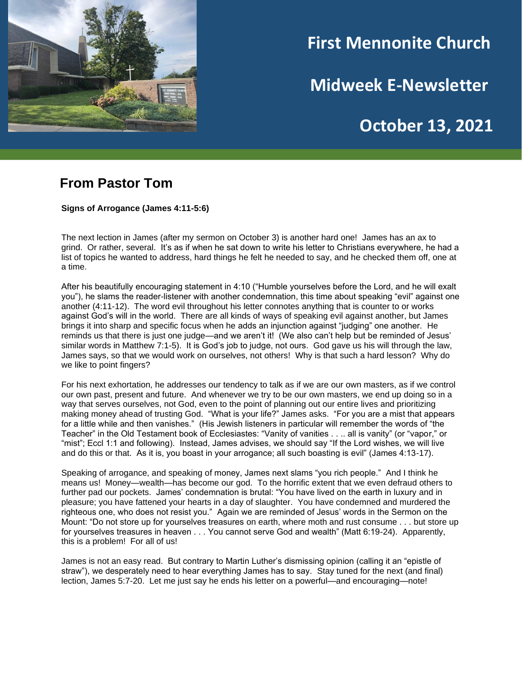

# **First Mennonite Church**

**Midweek E-Newsletter**

**October 13, 2021** 

**202120212021**

### **From Pastor Tom**

**Signs of Arrogance (James 4:11-5:6)**

The next lection in James (after my sermon on October 3) is another hard one! James has an ax to grind. Or rather, several. It's as if when he sat down to write his letter to Christians everywhere, he had a list of topics he wanted to address, hard things he felt he needed to say, and he checked them off, one at a time.

After his beautifully encouraging statement in 4:10 ("Humble yourselves before the Lord, and he will exalt you"), he slams the reader-listener with another condemnation, this time about speaking "evil" against one another (4:11-12). The word evil throughout his letter connotes anything that is counter to or works against God's will in the world. There are all kinds of ways of speaking evil against another, but James brings it into sharp and specific focus when he adds an injunction against "judging" one another. He reminds us that there is just one judge—and we aren't it! (We also can't help but be reminded of Jesus' similar words in Matthew 7:1-5). It is God's job to judge, not ours. God gave us his will through the law, James says, so that we would work on ourselves, not others! Why is that such a hard lesson? Why do we like to point fingers?

For his next exhortation, he addresses our tendency to talk as if we are our own masters, as if we control our own past, present and future. And whenever we try to be our own masters, we end up doing so in a way that serves ourselves, not God, even to the point of planning out our entire lives and prioritizing making money ahead of trusting God. "What is your life?" James asks. "For you are a mist that appears for a little while and then vanishes." (His Jewish listeners in particular will remember the words of "the Teacher" in the Old Testament book of Ecclesiastes: "Vanity of vanities . . .. all is vanity" (or "vapor," or "mist"; Eccl 1:1 and following). Instead, James advises, we should say "If the Lord wishes, we will live and do this or that. As it is, you boast in your arrogance; all such boasting is evil" (James 4:13-17).

Speaking of arrogance, and speaking of money, James next slams "you rich people." And I think he means us! Money—wealth—has become our god. To the horrific extent that we even defraud others to further pad our pockets. James' condemnation is brutal: "You have lived on the earth in luxury and in pleasure; you have fattened your hearts in a day of slaughter. You have condemned and murdered the righteous one, who does not resist you." Again we are reminded of Jesus' words in the Sermon on the Mount: "Do not store up for yourselves treasures on earth, where moth and rust consume . . . but store up for yourselves treasures in heaven . . . You cannot serve God and wealth" (Matt 6:19-24). Apparently, this is a problem! For all of us!

James is not an easy read. But contrary to Martin Luther's dismissing opinion (calling it an "epistle of straw"), we desperately need to hear everything James has to say. Stay tuned for the next (and final) lection, James 5:7-20. Let me just say he ends his letter on a powerful—and encouraging—note!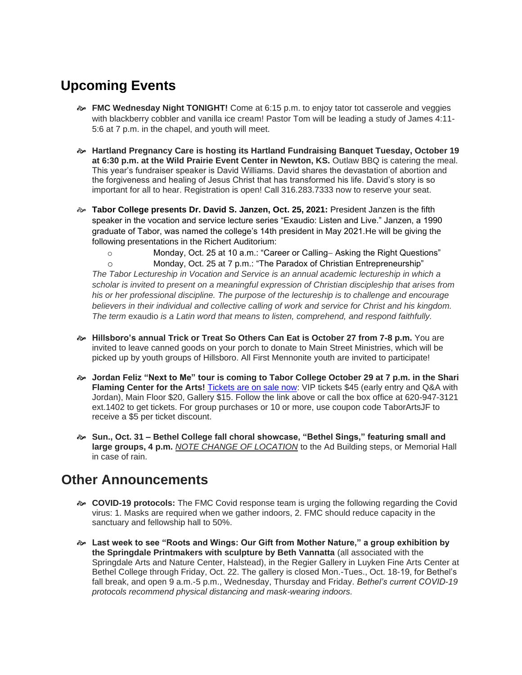## **Upcoming Events**

- **FMC Wednesday Night TONIGHT!** Come at 6:15 p.m. to enjoy tator tot casserole and veggies with blackberry cobbler and vanilla ice cream! Pastor Tom will be leading a study of James 4:11-5:6 at 7 p.m. in the chapel, and youth will meet.
- **Hartland Pregnancy Care is hosting its Hartland Fundraising Banquet Tuesday, October 19 at 6:30 p.m. at the Wild Prairie Event Center in Newton, KS.** Outlaw BBQ is catering the meal. This year's fundraiser speaker is David Williams. David shares the devastation of abortion and the forgiveness and healing of Jesus Christ that has transformed his life. David's story is so important for all to hear. Registration is open! Call 316.283.7333 now to reserve your seat.
- **Tabor College presents Dr. David S. Janzen, Oct. 25, 2021:** President Janzen is the fifth speaker in the vocation and service lecture series "Exaudio: Listen and Live." Janzen, a 1990 graduate of Tabor, was named the college's 14th president in May 2021.He will be giving the following presentations in the Richert Auditorium:

o Monday, Oct. 25 at 10 a.m.: "Career or Calling− Asking the Right Questions"

o Monday, Oct. 25 at 7 p.m.: "The Paradox of Christian Entrepreneurship"

*The Tabor Lectureship in Vocation and Service is an annual academic lectureship in which a scholar is invited to present on a meaningful expression of Christian discipleship that arises from his or her professional discipline. The purpose of the lectureship is to challenge and encourage believers in their individual and collective calling of work and service for Christ and his kingdom. The term* exaudio *is a Latin word that means to listen, comprehend, and respond faithfully.*

- **Hillsboro's annual Trick or Treat So Others Can Eat is October 27 from 7-8 p.m.** You are invited to leave canned goods on your porch to donate to Main Street Ministries, which will be picked up by youth groups of Hillsboro. All First Mennonite youth are invited to participate!
- **Jordan Feliz "Next to Me" tour is coming to Tabor College October 29 at 7 p.m. in the Shari**  Flaming Center for the Arts! [Tickets are on sale now:](https://tabor.universitytickets.com/w/event.aspx?id=1523&r=ad091ac1ff3a49beab299adb20854950) VIP tickets \$45 (early entry and Q&A with Jordan), Main Floor \$20, Gallery \$15. Follow the link above or call the box office at 620-947-3121 ext.1402 to get tickets. For group purchases or 10 or more, use coupon code TaborArtsJF to receive a \$5 per ticket discount.
- **Sun., Oct. 31 – Bethel College fall choral showcase, "Bethel Sings," featuring small and large groups, 4 p.m.** *NOTE CHANGE OF LOCATION* to the Ad Building steps, or Memorial Hall in case of rain.

### **Other Announcements**

- **COVID-19 protocols:** The FMC Covid response team is urging the following regarding the Covid virus: 1. Masks are required when we gather indoors, 2. FMC should reduce capacity in the sanctuary and fellowship hall to 50%.
- **Last week to see "Roots and Wings: Our Gift from Mother Nature," a group exhibition by the Springdale Printmakers with sculpture by Beth Vannatta** (all associated with the Springdale Arts and Nature Center, Halstead), in the Regier Gallery in Luyken Fine Arts Center at Bethel College through Friday, Oct. 22. The gallery is closed Mon.-Tues., Oct. 18-19, for Bethel's fall break, and open 9 a.m.-5 p.m., Wednesday, Thursday and Friday. *Bethel's current COVID-19 protocols recommend physical distancing and mask-wearing indoors.*